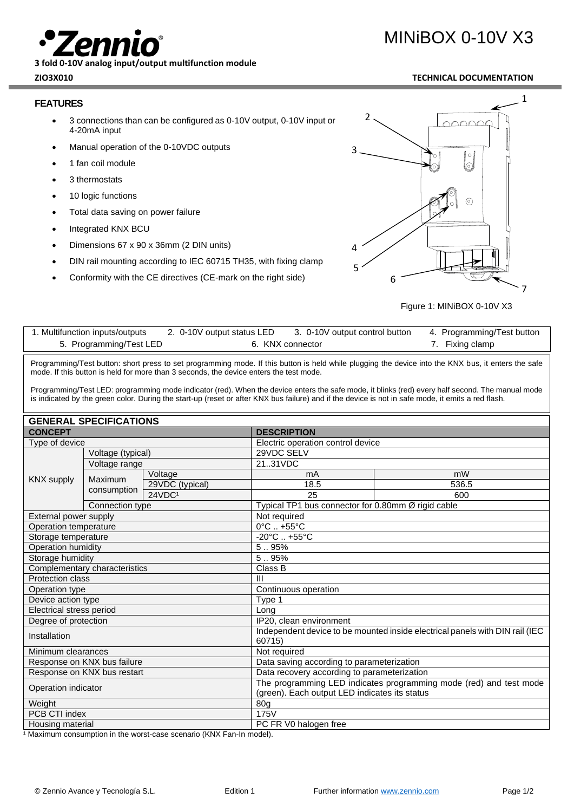**3 fold 0-10V analog input/output multifunction module**

## **FEATURES**

- 3 connections than can be configured as 0-10V output, 0-10V input or 4-20mA input
- Manual operation of the 0-10VDC outputs
- 1 fan coil module
- 3 thermostats
- 10 logic functions
- Total data saving on power failure
- Integrated KNX BCU
- Dimensions 67 x 90 x 36mm (2 DIN units)
- DIN rail mounting according to IEC 60715 TH35, with fixing clamp
- Conformity with the CE directives (CE-mark on the right side)



Figure 1: MINiBOX 0-10V X3

| 1. Multifunction inputs/outputs | 2. 0-10V output status LED | 3. 0-10V output control button | 4. Programming/Test button |
|---------------------------------|----------------------------|--------------------------------|----------------------------|
| 5. Programming/Test LED         |                            | 6. KNX connector               | 7. Fixing clamp            |

Programming/Test button: short press to set programming mode. If this button is held while plugging the device into the KNX bus, it enters the safe mode. If this button is held for more than 3 seconds, the device enters the test mode.

Programming/Test LED: programming mode indicator (red). When the device enters the safe mode, it blinks (red) every half second. The manual mode is indicated by the green color. During the start-up (reset or after KNX bus failure) and if the device is not in safe mode, it emits a red flash.

| <b>GENERAL SPECIFICATIONS</b> |                 |                                             |                                                                                                                     |                                                    |  |  |
|-------------------------------|-----------------|---------------------------------------------|---------------------------------------------------------------------------------------------------------------------|----------------------------------------------------|--|--|
| <b>CONCEPT</b>                |                 | <b>DESCRIPTION</b>                          |                                                                                                                     |                                                    |  |  |
| Type of device                |                 |                                             | Electric operation control device                                                                                   |                                                    |  |  |
| Voltage (typical)             |                 | 29VDC SELV                                  |                                                                                                                     |                                                    |  |  |
| Voltage range                 |                 |                                             | 2131VDC                                                                                                             |                                                    |  |  |
| <b>KNX supply</b>             | Maximum         | Voltage                                     | mA                                                                                                                  | mW                                                 |  |  |
|                               |                 | 29VDC (typical)                             | 18.5                                                                                                                | 536.5                                              |  |  |
|                               | consumption     | 24VDC1                                      | 25                                                                                                                  | 600                                                |  |  |
|                               | Connection type |                                             |                                                                                                                     | Typical TP1 bus connector for 0.80mm Ø rigid cable |  |  |
| External power supply         |                 | Not required                                |                                                                                                                     |                                                    |  |  |
| Operation temperature         |                 | $0^{\circ}$ C $. +55^{\circ}$ C             |                                                                                                                     |                                                    |  |  |
| Storage temperature           |                 | $-20^{\circ}$ C  +55°C                      |                                                                                                                     |                                                    |  |  |
| Operation humidity            |                 | 5.95%                                       |                                                                                                                     |                                                    |  |  |
| Storage humidity              |                 | 5.95%                                       |                                                                                                                     |                                                    |  |  |
| Complementary characteristics |                 | Class B                                     |                                                                                                                     |                                                    |  |  |
| Protection class              |                 | $\mathbf{H}$                                |                                                                                                                     |                                                    |  |  |
| Operation type                |                 | Continuous operation                        |                                                                                                                     |                                                    |  |  |
| Device action type            |                 | Type 1                                      |                                                                                                                     |                                                    |  |  |
| Electrical stress period      |                 | Long                                        |                                                                                                                     |                                                    |  |  |
| Degree of protection          |                 | IP20, clean environment                     |                                                                                                                     |                                                    |  |  |
| Installation                  |                 | 60715)                                      | Independent device to be mounted inside electrical panels with DIN rail (IEC                                        |                                                    |  |  |
| Minimum clearances            |                 | Not required                                |                                                                                                                     |                                                    |  |  |
| Response on KNX bus failure   |                 | Data saving according to parameterization   |                                                                                                                     |                                                    |  |  |
| Response on KNX bus restart   |                 | Data recovery according to parameterization |                                                                                                                     |                                                    |  |  |
| Operation indicator           |                 |                                             | The programming LED indicates programming mode (red) and test mode<br>(green). Each output LED indicates its status |                                                    |  |  |
| Weight                        |                 | 80 <sub>g</sub>                             |                                                                                                                     |                                                    |  |  |
| PCB CTI index                 |                 | 175V                                        |                                                                                                                     |                                                    |  |  |
| Housing material              |                 | PC FR V0 halogen free                       |                                                                                                                     |                                                    |  |  |

<sup>1</sup> Maximum consumption in the worst-case scenario (KNX Fan-In model).

# MINiBOX 0-10V X3

## **ZIO3X010 TECHNICAL DOCUMENTATION**